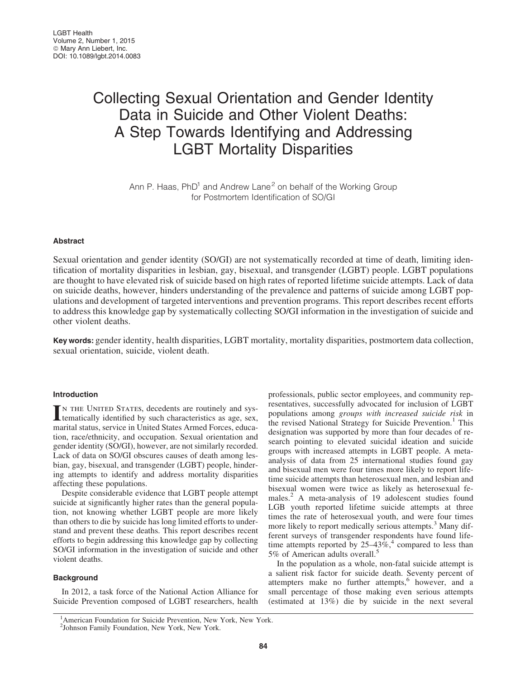# Collecting Sexual Orientation and Gender Identity Data in Suicide and Other Violent Deaths: A Step Towards Identifying and Addressing LGBT Mortality Disparities

Ann P. Haas,  $PhD<sup>1</sup>$  and Andrew Lane<sup>2</sup> on behalf of the Working Group for Postmortem Identification of SO/GI

# **Abstract**

Sexual orientation and gender identity (SO/GI) are not systematically recorded at time of death, limiting identification of mortality disparities in lesbian, gay, bisexual, and transgender (LGBT) people. LGBT populations are thought to have elevated risk of suicide based on high rates of reported lifetime suicide attempts. Lack of data on suicide deaths, however, hinders understanding of the prevalence and patterns of suicide among LGBT populations and development of targeted interventions and prevention programs. This report describes recent efforts to address this knowledge gap by systematically collecting SO/GI information in the investigation of suicide and other violent deaths.

Key words: gender identity, health disparities, LGBT mortality, mortality disparities, postmortem data collection, sexual orientation, suicide, violent death.

# Introduction

IN THE UNITED STATES, decedents are routinely and systematically identified by such characteristics as age, sex, marital status, service in United States Armed Forces, education, race/ethnicity, and occupation. Sexual orientation and gender identity (SO/GI), however, are not similarly recorded. Lack of data on SO/GI obscures causes of death among lesbian, gay, bisexual, and transgender (LGBT) people, hindering attempts to identify and address mortality disparities affecting these populations.

Despite considerable evidence that LGBT people attempt suicide at significantly higher rates than the general population, not knowing whether LGBT people are more likely than others to die by suicide has long limited efforts to understand and prevent these deaths. This report describes recent efforts to begin addressing this knowledge gap by collecting SO/GI information in the investigation of suicide and other violent deaths.

## **Background**

In 2012, a task force of the National Action Alliance for Suicide Prevention composed of LGBT researchers, health professionals, public sector employees, and community representatives, successfully advocated for inclusion of LGBT populations among *groups with increased suicide risk* in the revised National Strategy for Suicide Prevention.<sup>1</sup> This designation was supported by more than four decades of research pointing to elevated suicidal ideation and suicide groups with increased attempts in LGBT people. A metaanalysis of data from 25 international studies found gay and bisexual men were four times more likely to report lifetime suicide attempts than heterosexual men, and lesbian and bisexual women were twice as likely as heterosexual females.<sup>2</sup> A meta-analysis of 19 adolescent studies found LGB youth reported lifetime suicide attempts at three times the rate of heterosexual youth, and were four times more likely to report medically serious attempts.<sup>3</sup> Many different surveys of transgender respondents have found lifetime attempts reported by  $25-43\%$ ,<sup>4</sup> compared to less than 5% of American adults overall.<sup>5</sup>

In the population as a whole, non-fatal suicide attempt is a salient risk factor for suicide death. Seventy percent of attempters make no further attempts,<sup>6</sup> however, and a small percentage of those making even serious attempts (estimated at 13%) die by suicide in the next several

<sup>1</sup> American Foundation for Suicide Prevention, New York, New York.

<sup>2</sup> Johnson Family Foundation, New York, New York.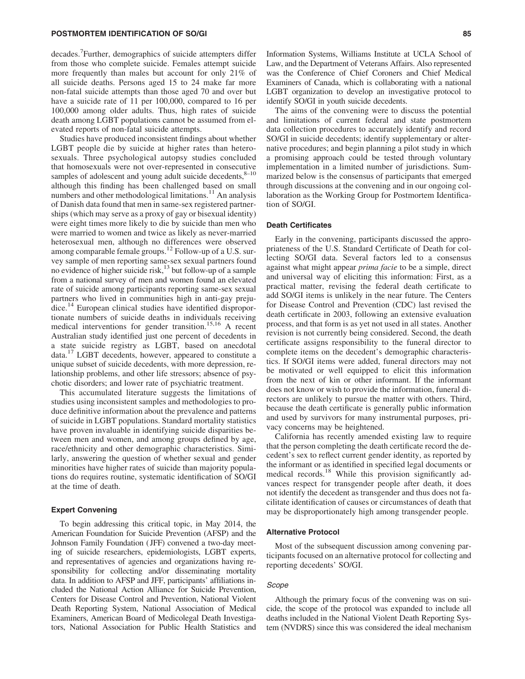decades.<sup>7</sup> Further, demographics of suicide attempters differ from those who complete suicide. Females attempt suicide more frequently than males but account for only 21% of all suicide deaths. Persons aged 15 to 24 make far more non-fatal suicide attempts than those aged 70 and over but have a suicide rate of 11 per 100,000, compared to 16 per 100,000 among older adults. Thus, high rates of suicide death among LGBT populations cannot be assumed from elevated reports of non-fatal suicide attempts.

Studies have produced inconsistent findings about whether LGBT people die by suicide at higher rates than heterosexuals. Three psychological autopsy studies concluded that homosexuals were not over-represented in consecutive samples of adolescent and young adult suicide decedents, $8-10$ although this finding has been challenged based on small numbers and other methodological limitations. $11$  An analysis of Danish data found that men in same-sex registered partnerships (which may serve as a proxy of gay or bisexual identity) were eight times more likely to die by suicide than men who were married to women and twice as likely as never-married heterosexual men, although no differences were observed among comparable female groups.<sup>12</sup> Follow-up of a U.S. survey sample of men reporting same-sex sexual partners found no evidence of higher suicide risk,<sup>13</sup> but follow-up of a sample from a national survey of men and women found an elevated rate of suicide among participants reporting same-sex sexual partners who lived in communities high in anti-gay prejudice.<sup>14</sup> European clinical studies have identified disproportionate numbers of suicide deaths in individuals receiving medical interventions for gender transition.<sup>15,16</sup> A recent Australian study identified just one percent of decedents in a state suicide registry as LGBT, based on anecdotal data.<sup>17</sup> LGBT decedents, however, appeared to constitute a unique subset of suicide decedents, with more depression, relationship problems, and other life stressors; absence of psychotic disorders; and lower rate of psychiatric treatment.

This accumulated literature suggests the limitations of studies using inconsistent samples and methodologies to produce definitive information about the prevalence and patterns of suicide in LGBT populations. Standard mortality statistics have proven invaluable in identifying suicide disparities between men and women, and among groups defined by age, race/ethnicity and other demographic characteristics. Similarly, answering the question of whether sexual and gender minorities have higher rates of suicide than majority populations do requires routine, systematic identification of SO/GI at the time of death.

## Expert Convening

To begin addressing this critical topic, in May 2014, the American Foundation for Suicide Prevention (AFSP) and the Johnson Family Foundation ( JFF) convened a two-day meeting of suicide researchers, epidemiologists, LGBT experts, and representatives of agencies and organizations having responsibility for collecting and/or disseminating mortality data. In addition to AFSP and JFF, participants' affiliations included the National Action Alliance for Suicide Prevention, Centers for Disease Control and Prevention, National Violent Death Reporting System, National Association of Medical Examiners, American Board of Medicolegal Death Investigators, National Association for Public Health Statistics and

Information Systems, Williams Institute at UCLA School of Law, and the Department of Veterans Affairs. Also represented was the Conference of Chief Coroners and Chief Medical Examiners of Canada, which is collaborating with a national LGBT organization to develop an investigative protocol to identify SO/GI in youth suicide decedents.

The aims of the convening were to discuss the potential and limitations of current federal and state postmortem data collection procedures to accurately identify and record SO/GI in suicide decedents; identify supplementary or alternative procedures; and begin planning a pilot study in which a promising approach could be tested through voluntary implementation in a limited number of jurisdictions. Summarized below is the consensus of participants that emerged through discussions at the convening and in our ongoing collaboration as the Working Group for Postmortem Identification of SO/GI.

## Death Certificates

Early in the convening, participants discussed the appropriateness of the U.S. Standard Certificate of Death for collecting SO/GI data. Several factors led to a consensus against what might appear *prima facie* to be a simple, direct and universal way of eliciting this information: First, as a practical matter, revising the federal death certificate to add SO/GI items is unlikely in the near future. The Centers for Disease Control and Prevention (CDC) last revised the death certificate in 2003, following an extensive evaluation process, and that form is as yet not used in all states. Another revision is not currently being considered. Second, the death certificate assigns responsibility to the funeral director to complete items on the decedent's demographic characteristics. If SO/GI items were added, funeral directors may not be motivated or well equipped to elicit this information from the next of kin or other informant. If the informant does not know or wish to provide the information, funeral directors are unlikely to pursue the matter with others. Third, because the death certificate is generally public information and used by survivors for many instrumental purposes, privacy concerns may be heightened.

California has recently amended existing law to require that the person completing the death certificate record the decedent's sex to reflect current gender identity, as reported by the informant or as identified in specified legal documents or medical records.<sup>18</sup> While this provision significantly advances respect for transgender people after death, it does not identify the decedent as transgender and thus does not facilitate identification of causes or circumstances of death that may be disproportionately high among transgender people.

## Alternative Protocol

Most of the subsequent discussion among convening participants focused on an alternative protocol for collecting and reporting decedents' SO/GI.

#### Scope

Although the primary focus of the convening was on suicide, the scope of the protocol was expanded to include all deaths included in the National Violent Death Reporting System (NVDRS) since this was considered the ideal mechanism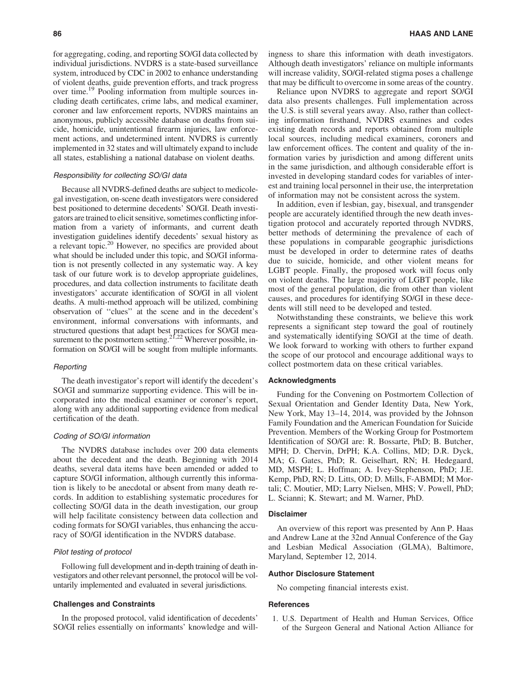for aggregating, coding, and reporting SO/GI data collected by individual jurisdictions. NVDRS is a state-based surveillance system, introduced by CDC in 2002 to enhance understanding of violent deaths, guide prevention efforts, and track progress over time.19 Pooling information from multiple sources including death certificates, crime labs, and medical examiner, coroner and law enforcement reports, NVDRS maintains an anonymous, publicly accessible database on deaths from suicide, homicide, unintentional firearm injuries, law enforcement actions, and undetermined intent. NVDRS is currently implemented in 32 states and will ultimately expand to include all states, establishing a national database on violent deaths.

### Responsibility for collecting SO/GI data

Because all NVDRS-defined deaths are subject to medicolegal investigation, on-scene death investigators were considered best positioned to determine decedents' SO/GI. Death investigators are trained to elicit sensitive, sometimes conflicting information from a variety of informants, and current death investigation guidelines identify decedents' sexual history as a relevant topic.20 However, no specifics are provided about what should be included under this topic, and SO/GI information is not presently collected in any systematic way. A key task of our future work is to develop appropriate guidelines, procedures, and data collection instruments to facilitate death investigators' accurate identification of SO/GI in all violent deaths. A multi-method approach will be utilized, combining observation of ''clues'' at the scene and in the decedent's environment, informal conversations with informants, and structured questions that adapt best practices for SO/GI measurement to the postmortem setting.<sup>21,22</sup> Wherever possible, information on SO/GI will be sought from multiple informants.

### **Reporting**

The death investigator's report will identify the decedent's SO/GI and summarize supporting evidence. This will be incorporated into the medical examiner or coroner's report, along with any additional supporting evidence from medical certification of the death.

#### Coding of SO/GI information

The NVDRS database includes over 200 data elements about the decedent and the death. Beginning with 2014 deaths, several data items have been amended or added to capture SO/GI information, although currently this information is likely to be anecdotal or absent from many death records. In addition to establishing systematic procedures for collecting SO/GI data in the death investigation, our group will help facilitate consistency between data collection and coding formats for SO/GI variables, thus enhancing the accuracy of SO/GI identification in the NVDRS database.

#### Pilot testing of protocol

Following full development and in-depth training of death investigators and other relevant personnel, the protocol will be voluntarily implemented and evaluated in several jurisdictions.

## Challenges and Constraints

In the proposed protocol, valid identification of decedents' SO/GI relies essentially on informants' knowledge and willingness to share this information with death investigators. Although death investigators' reliance on multiple informants will increase validity, SO/GI-related stigma poses a challenge that may be difficult to overcome in some areas of the country.

Reliance upon NVDRS to aggregate and report SO/GI data also presents challenges. Full implementation across the U.S. is still several years away. Also, rather than collecting information firsthand, NVDRS examines and codes existing death records and reports obtained from multiple local sources, including medical examiners, coroners and law enforcement offices. The content and quality of the information varies by jurisdiction and among different units in the same jurisdiction, and although considerable effort is invested in developing standard codes for variables of interest and training local personnel in their use, the interpretation of information may not be consistent across the system.

In addition, even if lesbian, gay, bisexual, and transgender people are accurately identified through the new death investigation protocol and accurately reported through NVDRS, better methods of determining the prevalence of each of these populations in comparable geographic jurisdictions must be developed in order to determine rates of deaths due to suicide, homicide, and other violent means for LGBT people. Finally, the proposed work will focus only on violent deaths. The large majority of LGBT people, like most of the general population, die from other than violent causes, and procedures for identifying SO/GI in these decedents will still need to be developed and tested.

Notwithstanding these constraints, we believe this work represents a significant step toward the goal of routinely and systematically identifying SO/GI at the time of death. We look forward to working with others to further expand the scope of our protocol and encourage additional ways to collect postmortem data on these critical variables.

## Acknowledgments

Funding for the Convening on Postmortem Collection of Sexual Orientation and Gender Identity Data, New York, New York, May 13–14, 2014, was provided by the Johnson Family Foundation and the American Foundation for Suicide Prevention. Members of the Working Group for Postmortem Identification of SO/GI are: R. Bossarte, PhD; B. Butcher, MPH; D. Chervin, DrPH; K.A. Collins, MD; D.R. Dyck, MA; G. Gates, PhD; R. Geiselhart, RN; H. Hedegaard, MD, MSPH; L. Hoffman; A. Ivey-Stephenson, PhD; J.E. Kemp, PhD, RN; D. Litts, OD; D. Mills, F-ABMDI; M Mortali; C. Moutier, MD; Larry Nielsen, MHS; V. Powell, PhD; L. Scianni; K. Stewart; and M. Warner, PhD.

# Disclaimer

An overview of this report was presented by Ann P. Haas and Andrew Lane at the 32nd Annual Conference of the Gay and Lesbian Medical Association (GLMA), Baltimore, Maryland, September 12, 2014.

#### Author Disclosure Statement

No competing financial interests exist.

#### **References**

1. U.S. Department of Health and Human Services, Office of the Surgeon General and National Action Alliance for